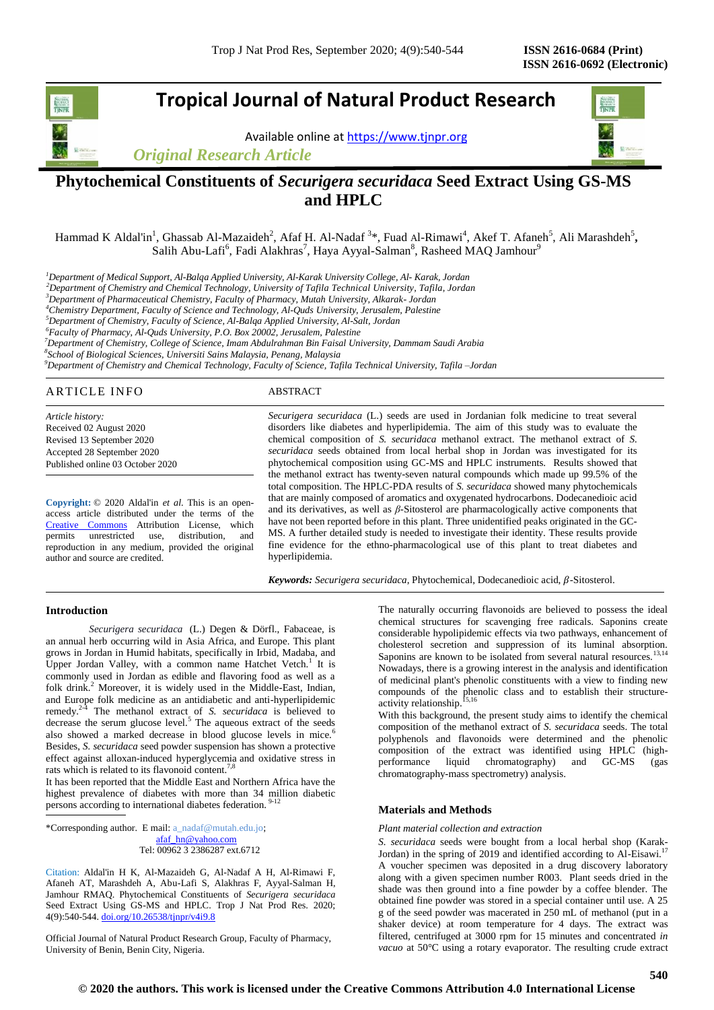# **Tropical Journal of Natural Product Research**

Available online a[t https://www.tjnpr.org](https://www.tjnpr.org/)

*Original Research Article*



## **Phytochemical Constituents of** *Securigera securidaca* **Seed Extract Using GS-MS and HPLC**

Hammad K Aldal'in<sup>1</sup>, Ghassab Al-Mazaideh<sup>2</sup>, Afaf H. Al-Nadaf <sup>3\*</sup>, Fuad Al-Rimawi<sup>4</sup>, Akef T. Afaneh<sup>5</sup>, Ali Marashdeh<sup>5</sup>, Salih Abu-Lafi<sup>6</sup>, Fadi Alakhras<sup>7</sup>, Haya Ayyal-Salman<sup>8</sup>, Rasheed MAQ Jamhour<sup>9</sup>

*<sup>1</sup>Department of Medical Support, Al-Balqa Applied University, Al-Karak University College, Al- Karak, Jordan*

*<sup>2</sup>Department of Chemistry and Chemical Technology, University of Tafila Technical University, Tafila, Jordan*

*<sup>3</sup>Department of Pharmaceutical Chemistry, Faculty of Pharmacy, Mutah University, Alkarak- Jordan*

*<sup>4</sup>Chemistry Department, Faculty of Science and Technology, Al-Quds University, Jerusalem, Palestine*

*<sup>5</sup>Department of Chemistry, Faculty of Science, Al-Balqa Applied University, Al-Salt, Jordan*

*<sup>6</sup>Faculty of Pharmacy, Al-Quds University, P.O. Box 20002, Jerusalem, Palestine*

*<sup>7</sup>Department of Chemistry, College of Science, Imam Abdulrahman Bin Faisal University, Dammam Saudi Arabia*

*8 School of Biological Sciences, Universiti Sains Malaysia, Penang, Malaysia*

*<sup>9</sup>Department of Chemistry and Chemical Technology, Faculty of Science, Tafila Technical University, Tafila –Jordan*

## ARTICLE INFO ABSTRACT

*Article history:* Received 02 August 2020 Revised 13 September 2020 Accepted 28 September 2020 Published online 03 October 2020

**Copyright:** © 2020 Aldal'in *et al*. This is an openaccess article distributed under the terms of the [Creative Commons](https://creativecommons.org/licenses/by/4.0/) Attribution License, which permits unrestricted use, distribution, and reproduction in any medium, provided the original author and source are credited.

*Securigera securidaca* (L.) seeds are used in Jordanian folk medicine to treat several disorders like diabetes and hyperlipidemia. The aim of this study was to evaluate the chemical composition of *S. securidaca* methanol extract. The methanol extract of *S. securidaca* seeds obtained from local herbal shop in Jordan was investigated for its phytochemical composition using GC-MS and HPLC instruments. Results showed that the methanol extract has twenty-seven natural compounds which made up 99.5% of the total composition. The HPLC-PDA results of *S. securidaca* showed many phytochemicals that are mainly composed of aromatics and oxygenated hydrocarbons. Dodecanedioic acid and its derivatives, as well as *β*-Sitosterol are pharmacologically active components that have not been reported before in this plant. Three unidentified peaks originated in the GC-MS. A further detailed study is needed to investigate their identity. These results provide fine evidence for the ethno-pharmacological use of this plant to treat diabetes and hyperlipidemia.

 $Keywords: Securityera sequential, Dodecanediotic acid,  $\beta$ -Sitosterol.$ 

#### **Introduction**

*Securigera securidaca* (L.) Degen & Dörfl., Fabaceae, is an annual herb occurring wild in Asia Africa, and Europe. This plant grows in Jordan in Humid habitats, specifically in Irbid, Madaba, and Upper Jordan Valley, with a common name Hatchet Vetch.<sup>1</sup> It is commonly used in Jordan as edible and flavoring food as well as a folk drink.<sup>2</sup> Moreover, it is widely used in the Middle-East, Indian, and Europe folk medicine as an antidiabetic and anti-hyperlipidemic remedy.<sup>24</sup> The methanol extract of *S. securidaca* is believed to decrease the serum glucose level.<sup>5</sup> The aqueous extract of the seeds also showed a marked decrease in blood glucose levels in mice.<sup>6</sup> Besides, *S. securidaca* seed powder suspension has shown a protective effect against alloxan-induced hyperglycemia and oxidative stress in rats which is related to its flavonoid content.<sup>7,8</sup>

It has been reported that the Middle East and Northern Africa have the highest prevalence of diabetes with more than 34 million diabetic persons according to international diabetes federation. 9-12

\*Corresponding author. E mail[: a\\_nadaf@mutah.edu.jo;](mailto:a_nadaf@mutah.edu.jo) [afaf\\_hn@yahoo.com](mailto:afaf_hn@yahoo.com) Tel: 00962 3 2386287 ext.6712

Citation: Aldal'in H K, Al-Mazaideh G, Al-Nadaf A H, Al-Rimawi F, Afaneh AT, Marashdeh A, Abu-Lafi S, Alakhras F, Ayyal-Salman H, Jamhour RMAQ. Phytochemical Constituents of *Securigera securidaca* Seed Extract Using GS-MS and HPLC. Trop J Nat Prod Res. 2020; 4(9):540-544[. doi.org/10.26538/tjnpr/v4i9.8](http://www.doi.org/10.26538/tjnpr/v1i4.5)

Official Journal of Natural Product Research Group, Faculty of Pharmacy, University of Benin, Benin City, Nigeria.

The naturally occurring flavonoids are believed to possess the ideal chemical structures for scavenging free radicals. Saponins create considerable hypolipidemic effects via two pathways, enhancement of cholesterol secretion and suppression of its luminal absorption. Saponins are known to be isolated from several natural resources.<sup>13,14</sup> Nowadays, there is a growing interest in the analysis and identification of medicinal plant's phenolic constituents with a view to finding new compounds of the phenolic class and to establish their structureactivity relationship.<sup>15,16</sup>

With this background, the present study aims to identify the chemical composition of the methanol extract of *S. securidaca* seeds. The total polyphenols and flavonoids were determined and the phenolic composition of the extract was identified using HPLC (high-<br>performance liquid chromatography) and GC-MS (gas liquid chromatography) and GC-MS (gas chromatography-mass spectrometry) analysis.

#### **Materials and Methods**

#### *Plant material collection and extraction*

*S. securidaca* seeds were bought from a local herbal shop (Karak-Jordan) in the spring of 2019 and identified according to Al-Eisawi.<sup>17</sup> A voucher specimen was deposited in a drug discovery laboratory along with a given specimen number R003. Plant seeds dried in the shade was then ground into a fine powder by a coffee blender. The obtained fine powder was stored in a special container until use. A 25 g of the seed powder was macerated in 250 mL of methanol (put in a shaker device) at room temperature for 4 days. The extract was filtered, centrifuged at 3000 rpm for 15 minutes and concentrated *in vacuo* at 50°C using a rotary evaporator. The resulting crude extract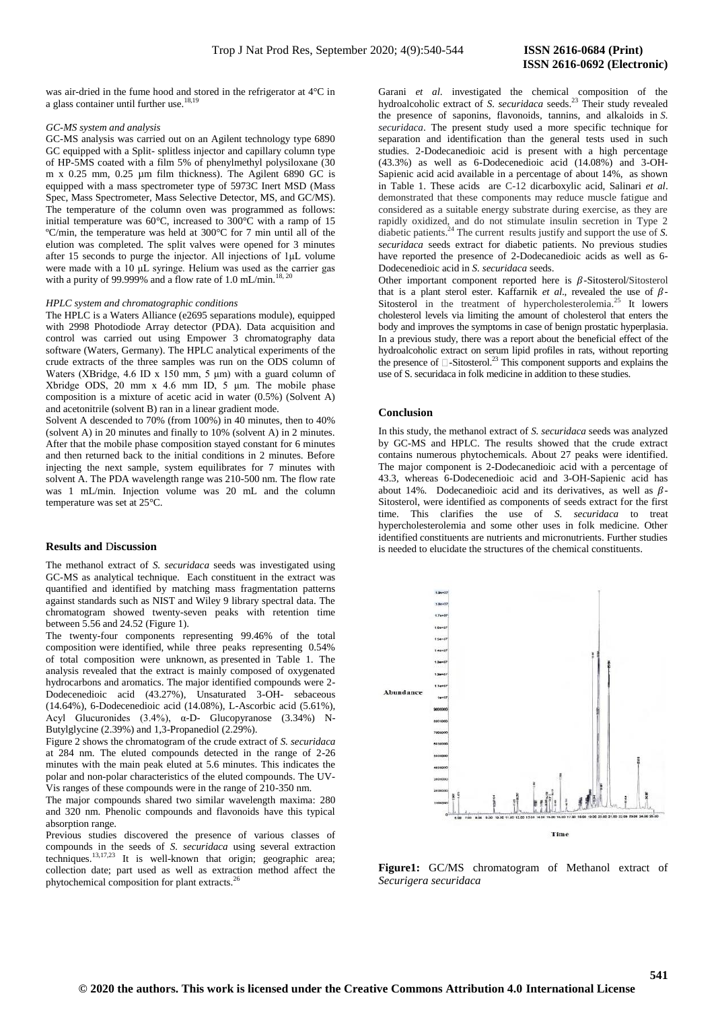was air-dried in the fume hood and stored in the refrigerator at 4°C in a glass container until further use.<sup>18,19</sup>

#### *GC-MS system and analysis*

GC-MS analysis was carried out on an Agilent technology type 6890 GC equipped with a Split- splitless injector and capillary column type of HP-5MS coated with a film 5% of phenylmethyl polysiloxane (30 m x 0.25 mm, 0.25 µm film thickness). The Agilent 6890 GC is equipped with a mass spectrometer type of 5973C Inert MSD (Mass Spec, Mass Spectrometer, Mass Selective Detector, MS, and GC/MS). The temperature of the column oven was programmed as follows: initial temperature was 60°C, increased to 300°C with a ramp of 15 ºC/min, the temperature was held at 300°C for 7 min until all of the elution was completed. The split valves were opened for 3 minutes after 15 seconds to purge the injector. All injections of 1μL volume were made with a 10 μL syringe. Helium was used as the carrier gas with a purity of 99.999% and a flow rate of 1.0 mL/min.<sup>18, 20</sup>

#### *HPLC system and chromatographic conditions*

The HPLC is a Waters Alliance (e2695 separations module), equipped with 2998 Photodiode Array detector (PDA). Data acquisition and control was carried out using Empower 3 chromatography data software (Waters, Germany). The HPLC analytical experiments of the crude extracts of the three samples was run on the ODS column of Waters (XBridge, 4.6 ID x 150 mm, 5  $\mu$ m) with a guard column of Xbridge ODS, 20 mm x 4.6 mm ID, 5 μm. The mobile phase composition is a mixture of acetic acid in water (0.5%) (Solvent A) and acetonitrile (solvent B) ran in a linear gradient mode.

Solvent A descended to 70% (from 100%) in 40 minutes, then to 40% (solvent A) in 20 minutes and finally to 10% (solvent A) in 2 minutes. After that the mobile phase composition stayed constant for 6 minutes and then returned back to the initial conditions in 2 minutes. Before injecting the next sample, system equilibrates for 7 minutes with solvent A. The PDA wavelength range was 210-500 nm. The flow rate was 1 mL/min. Injection volume was 20 mL and the column temperature was set at 25°C.

#### **Results and** D**iscussion**

The methanol extract of *S. securidaca* seeds was investigated using GC-MS as analytical technique. Each constituent in the extract was quantified and identified by matching mass fragmentation patterns against standards such as NIST and Wiley 9 library spectral data. The chromatogram showed twenty-seven peaks with retention time between 5.56 and 24.52 (Figure 1).

The twenty-four components representing 99.46% of the total composition were identified, while three peaks representing 0.54% of total composition were unknown, as presented in Table 1. The analysis revealed that the extract is mainly composed of oxygenated hydrocarbons and aromatics. The major identified compounds were 2- Dodecenedioic acid (43.27%), Unsaturated 3-OH- sebaceous (14.64%), 6-Dodecenedioic acid (14.08%), L-Ascorbic acid (5.61%), Acyl Glucuronides (3.4%), α-D- Glucopyranose (3.34%) N-Butylglycine (2.39%) and 1,3-Propanediol (2.29%).

Figure 2 shows the chromatogram of the crude extract of *S. securidaca* at 284 nm. The eluted compounds detected in the range of 2-26 minutes with the main peak eluted at 5.6 minutes. This indicates the polar and non-polar characteristics of the eluted compounds. The UV-Vis ranges of these compounds were in the range of 210-350 nm.

The major compounds shared two similar wavelength maxima: 280 and 320 nm. Phenolic compounds and flavonoids have this typical absorption range.

Previous studies discovered the presence of various classes of compounds in the seeds of *S. securidaca* using several extraction techniques. $13,17,23$  It is well-known that origin; geographic area; collection date; part used as well as extraction method affect the phytochemical composition for plant extracts.<sup>2</sup>

Garani *et al*. investigated the chemical composition of the hydroalcoholic extract of *S. securidaca* seeds.<sup>23</sup> Their study revealed the presence of saponins, flavonoids, tannins, and alkaloids in *S. securidaca*. The present study used a more specific technique for separation and identification than the general tests used in such studies. 2-Dodecanedioic acid is present with a high percentage (43.3%) as well as 6-Dodecenedioic acid (14.08%) and 3-OH-Sapienic acid acid available in a percentage of about 14%, as shown in Table 1. These acids are C-12 dicarboxylic acid, Salinari *et al*. demonstrated that these components may reduce muscle fatigue and considered as a suitable energy substrate during exercise, as they are rapidly oxidized, and do not stimulate insulin secretion in Type 2 diabetic patients.<sup>24</sup> The current results justify and support the use of *S*. *securidaca* seeds extract for diabetic patients. No previous studies have reported the presence of 2-Dodecanedioic acids as well as 6- Dodecenedioic acid in *S. securidaca* seeds.

Other important component reported here is  $\beta$ -Sitosterol/Sitosterol that is a plant sterol ester. Kaffarnik *et al.*, revealed the use of  $\beta$ -Sitosterol in the treatment of hypercholesterolemia.<sup>25</sup> It lowers cholesterol levels via limiting the amount of cholesterol that enters the body and improves the symptoms in case of benign prostatic hyperplasia. In a previous study, there was a report about the beneficial effect of the hydroalcoholic extract on serum lipid profiles in rats, without reporting the presence of  $\Box$ -Sitosterol.<sup>23</sup> This component supports and explains the use of S. securidaca in folk medicine in addition to these studies.

#### **Conclusion**

In this study, the methanol extract of *S. securidaca* seeds was analyzed by GC-MS and HPLC. The results showed that the crude extract contains numerous phytochemicals. About 27 peaks were identified. The major component is 2-Dodecanedioic acid with a percentage of 43.3, whereas 6-Dodecenedioic acid and 3-OH-Sapienic acid has about 14%. Dodecanedioic acid and its derivatives, as well as  $\beta$ -Sitosterol, were identified as components of seeds extract for the first time. This clarifies the use of *S. securidaca* to treat hypercholesterolemia and some other uses in folk medicine. Other identified constituents are nutrients and micronutrients. Further studies is needed to elucidate the structures of the chemical constituents.



**Figure1:** GC/MS chromatogram of Methanol extract of *Securigera securidaca*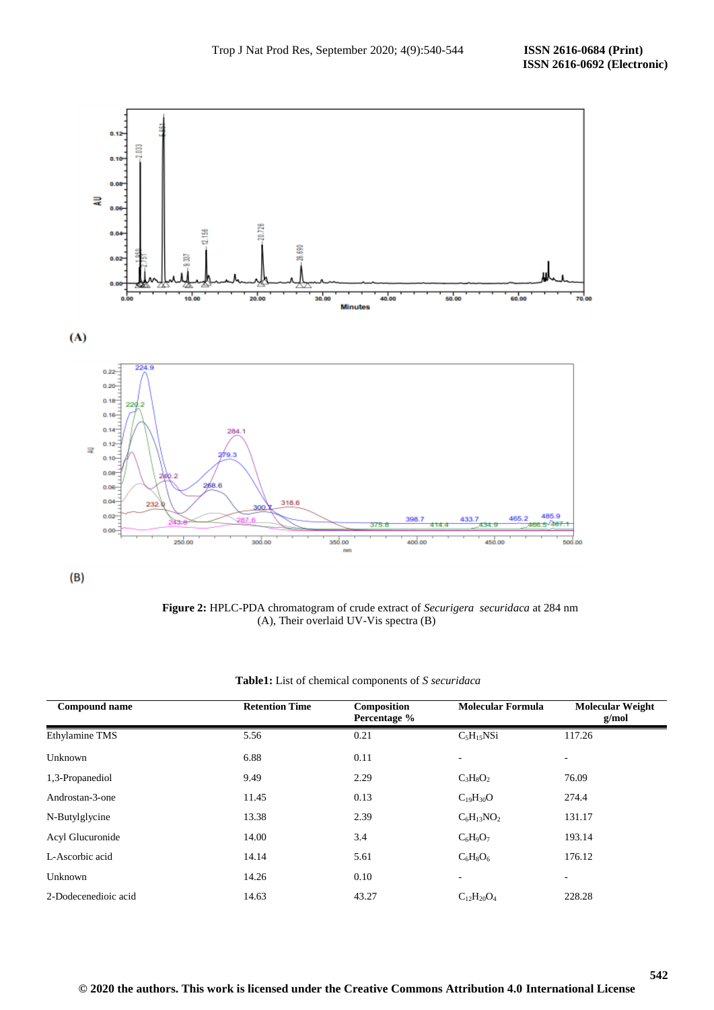



 **Figure 2:** HPLC-PDA chromatogram of crude extract of *Securigera securidaca* at 284 nm (A), Their overlaid UV-Vis spectra (B)

| <b>Compound name</b> | <b>Retention Time</b> | Composition<br>Percentage % | <b>Molecular Formula</b> | <b>Molecular Weight</b><br>g/mol |
|----------------------|-----------------------|-----------------------------|--------------------------|----------------------------------|
| Ethylamine TMS       | 5.56                  | 0.21                        | $C_5H_{15}NSi$           | 117.26                           |
| Unknown              | 6.88                  | 0.11                        |                          | ۰                                |
| 1,3-Propanediol      | 9.49                  | 2.29                        | $C_3H_8O_2$              | 76.09                            |
| Androstan-3-one      | 11.45                 | 0.13                        | $C_{19}H_{30}O$          | 274.4                            |
| N-Butylglycine       | 13.38                 | 2.39                        | $C_6H_{13}NO_2$          | 131.17                           |
| Acyl Glucuronide     | 14.00                 | 3.4                         | $C_6H_9O_7$              | 193.14                           |
| L-Ascorbic acid      | 14.14                 | 5.61                        | $C_6H_8O_6$              | 176.12                           |
| Unknown              | 14.26                 | 0.10                        | $\overline{\phantom{0}}$ | ٠                                |
| 2-Dodecenedioic acid | 14.63                 | 43.27                       | $C_{12}H_{20}O_4$        | 228.28                           |

| Table1: List of chemical components of S securidaca |  |  |  |
|-----------------------------------------------------|--|--|--|
|-----------------------------------------------------|--|--|--|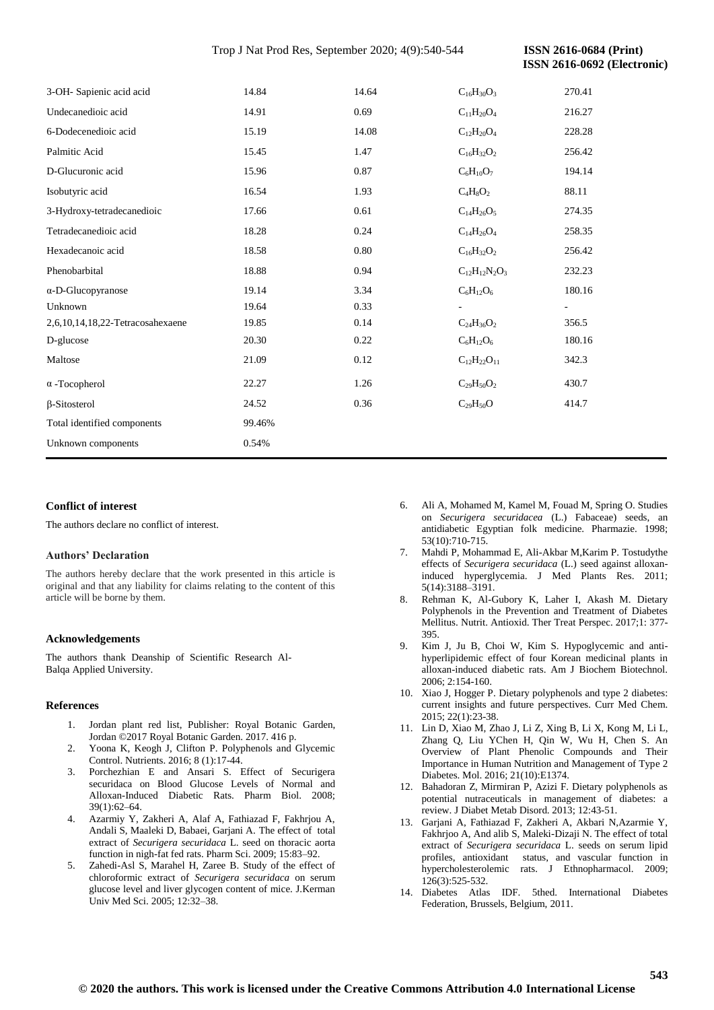## Trop J Nat Prod Res, September 2020; 4(9):540-544 **ISSN 2616-0684 (Print)**

 **ISSN 2616-0692 (Electronic)** 

| 3-OH- Sapienic acid acid         | 14.84  | 14.64 | $C_{16}H_{30}O_3$     | 270.41 |
|----------------------------------|--------|-------|-----------------------|--------|
| Undecanedioic acid               | 14.91  | 0.69  | $\rm C_{11}H_{20}O_4$ | 216.27 |
| 6-Dodecenedioic acid             | 15.19  | 14.08 | $C_{12}H_{20}O_4$     | 228.28 |
| Palmitic Acid                    | 15.45  | 1.47  | $C_{16}H_{32}O_2$     | 256.42 |
| D-Glucuronic acid                | 15.96  | 0.87  | $C_6H_{10}O_7$        | 194.14 |
| Isobutyric acid                  | 16.54  | 1.93  | $C_4H_8O_2$           | 88.11  |
| 3-Hydroxy-tetradecanedioic       | 17.66  | 0.61  | $C_{14}H_{26}O_5$     | 274.35 |
| Tetradecanedioic acid            | 18.28  | 0.24  | $C_{14}H_{26}O_4$     | 258.35 |
| Hexadecanoic acid                | 18.58  | 0.80  | $C_{16}H_{32}O_2$     | 256.42 |
| Phenobarbital                    | 18.88  | 0.94  | $C_{12}H_{12}N_2O_3$  | 232.23 |
| $\alpha$ -D-Glucopyranose        | 19.14  | 3.34  | $C_6H_{12}O_6$        | 180.16 |
| Unknown                          | 19.64  | 0.33  |                       |        |
| 2,6,10,14,18,22-Tetracosahexaene | 19.85  | 0.14  | $C_{24}H_{36}O_2$     | 356.5  |
| D-glucose                        | 20.30  | 0.22  | $C_6H_{12}O_6$        | 180.16 |
| Maltose                          | 21.09  | 0.12  | $C_{12}H_{22}O_{11}$  | 342.3  |
| $\alpha$ -Tocopherol             | 22.27  | 1.26  | $C_{29}H_{50}O_2$     | 430.7  |
| $\beta$ -Sitosterol              | 24.52  | 0.36  | $C_{29}H_{50}O$       | 414.7  |
| Total identified components      | 99.46% |       |                       |        |
| Unknown components               | 0.54%  |       |                       |        |

## **Conflict of interest**

The authors declare no conflict of interest.

#### **Authors' Declaration**

The authors hereby declare that the work presented in this article is original and that any liability for claims relating to the content of this article will be borne by them.

#### **Acknowledgements**

The authors thank Deanship of Scientific Research Al-Balqa Applied University.

## **References**

- 1. Jordan plant red list, Publisher: Royal Botanic Garden, Jordan ©2017 Royal Botanic Garden. 2017. 416 p.
- 2. Yoona K, Keogh J, Clifton P. Polyphenols and Glycemic Control. Nutrients. 2016; 8 (1):17-44.
- 3. Porchezhian E and Ansari S. Effect of Securigera securidaca on Blood Glucose Levels of Normal and Alloxan-Induced Diabetic Rats. Pharm Biol. 2008; 39(1):62–64.
- 4. Azarmiy Y, Zakheri A, Alaf A, Fathiazad F, Fakhrjou A, Andali S, Maaleki D, Babaei, Garjani A. The effect of total extract of *Securigera securidaca* L. seed on thoracic aorta function in nigh-fat fed rats. Pharm Sci. 2009; 15:83–92.
- 5. Zahedi-Asl S, Marahel H, Zaree B. Study of the effect of chloroformic extract of *Securigera securidaca* on serum glucose level and liver glycogen content of mice. J.Kerman Univ Med Sci. 2005; 12:32–38.
- 6. Ali A, Mohamed M, Kamel M, Fouad M, Spring O. Studies on *Securigera securidacea* (L.) Fabaceae) seeds, an antidiabetic Egyptian folk medicine. Pharmazie. 1998; 53(10):710-715.
- 7. Mahdi P, Mohammad E, Ali-Akbar M,Karim P. Tostudythe effects of *Securigera securidaca* (L.) seed against alloxaninduced hyperglycemia. J Med Plants Res. 2011; 5(14):3188–3191.
- 8. Rehman K, Al-Gubory K, Laher I, Akash M. Dietary Polyphenols in the Prevention and Treatment of Diabetes Mellitus. Nutrit. Antioxid. Ther Treat Perspec. 2017;1: 377- 395.
- 9. Kim J, Ju B, Choi W, Kim S. Hypoglycemic and antihyperlipidemic effect of four Korean medicinal plants in alloxan-induced diabetic rats. Am J Biochem Biotechnol. 2006; 2:154-160.
- 10. Xiao J, Hogger P. Dietary polyphenols and type 2 diabetes: current insights and future perspectives. Curr Med Chem. 2015; 22(1):23-38.
- 11. Lin D, Xiao M, Zhao J, Li Z, Xing B, Li X, Kong M, Li L, Zhang Q, Liu YChen H, Qin W, Wu H, Chen S. An Overview of Plant Phenolic Compounds and Their Importance in Human Nutrition and Management of Type 2 Diabetes. Mol. 2016; 21(10):E1374.
- 12. Bahadoran Z, Mirmiran P, Azizi F. Dietary polyphenols as potential nutraceuticals in management of diabetes: a review. J Diabet Metab Disord. 2013; 12:43-51.
- 13. Garjani A, Fathiazad F, Zakheri A, Akbari N,Azarmie Y, Fakhrjoo A, And alib S, Maleki-Dizaji N. The effect of total extract of *Securigera securidaca* L. seeds on serum lipid profiles, antioxidant status, and vascular function in hypercholesterolemic rats. J Ethnopharmacol. 2009; 126(3):525-532.
- 14. Diabetes Atlas IDF. 5thed. International Diabetes Federation, Brussels, Belgium, 2011.